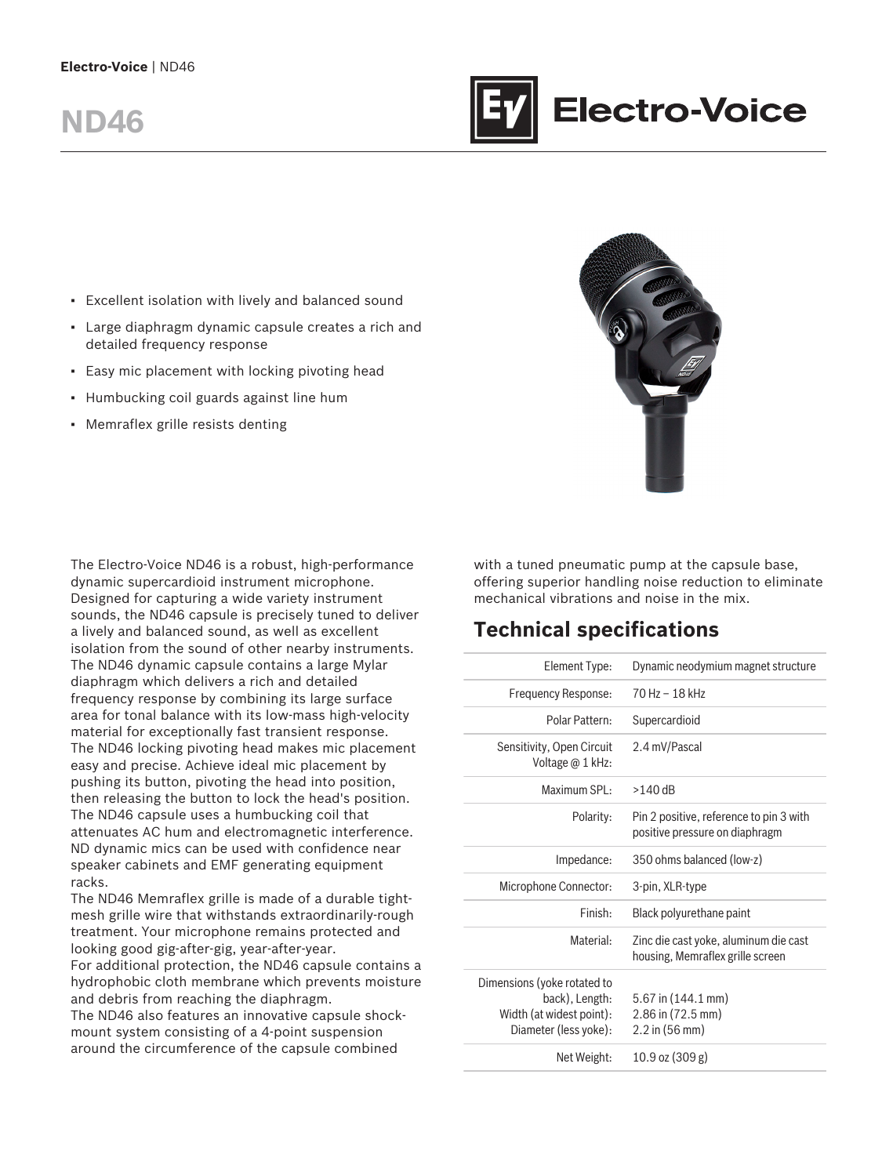# **ND46**



- Excellent isolation with lively and balanced sound
- Large diaphragm dynamic capsule creates a rich and detailed frequency response
- **Easy mic placement with locking pivoting head**
- Humbucking coil guards against line hum
- Memraflex grille resists denting

The Electro-Voice ND46 is a robust, high-performance dynamic supercardioid instrument microphone. Designed for capturing a wide variety instrument sounds, the ND46 capsule is precisely tuned to deliver a lively and balanced sound, as well as excellent isolation from the sound of other nearby instruments. The ND46 dynamic capsule contains a large Mylar diaphragm which delivers a rich and detailed frequency response by combining its large surface area for tonal balance with its low-mass high-velocity material for exceptionally fast transient response. The ND46 locking pivoting head makes mic placement easy and precise. Achieve ideal mic placement by pushing its button, pivoting the head into position, then releasing the button to lock the head's position. The ND46 capsule uses a humbucking coil that attenuates AC hum and electromagnetic interference. ND dynamic mics can be used with confidence near speaker cabinets and EMF generating equipment racks.

The ND46 Memraflex grille is made of a durable tightmesh grille wire that withstands extraordinarily-rough treatment. Your microphone remains protected and looking good gig-after-gig, year-after-year.

For additional protection, the ND46 capsule contains a hydrophobic cloth membrane which prevents moisture and debris from reaching the diaphragm.

The ND46 also features an innovative capsule shockmount system consisting of a 4-point suspension around the circumference of the capsule combined

with a tuned pneumatic pump at the capsule base, offering superior handling noise reduction to eliminate mechanical vibrations and noise in the mix.

## **Technical specifications**

| Element Type:                                                                                      | Dynamic neodymium magnet structure                                        |
|----------------------------------------------------------------------------------------------------|---------------------------------------------------------------------------|
| Frequency Response:                                                                                | 70 Hz - 18 kHz                                                            |
| Polar Pattern:                                                                                     | Supercardioid                                                             |
| Sensitivity, Open Circuit<br>Voltage @ 1 kHz:                                                      | 2.4 mV/Pascal                                                             |
| Maximum SPL:                                                                                       | $>140$ dB                                                                 |
| Polarity:                                                                                          | Pin 2 positive, reference to pin 3 with<br>positive pressure on diaphragm |
| Impedance:                                                                                         | 350 ohms balanced (low-z)                                                 |
| Microphone Connector:                                                                              | 3-pin, XLR-type                                                           |
| Finish:                                                                                            | Black polyurethane paint                                                  |
| Material:                                                                                          | Zinc die cast yoke, aluminum die cast<br>housing, Memraflex grille screen |
| Dimensions (yoke rotated to<br>back), Length:<br>Width (at widest point):<br>Diameter (less yoke): | $5.67$ in $(144.1$ mm)<br>2.86 in (72.5 mm)<br>$2.2$ in (56 mm)           |
| Net Weight:                                                                                        | 10.9 oz (309 g)                                                           |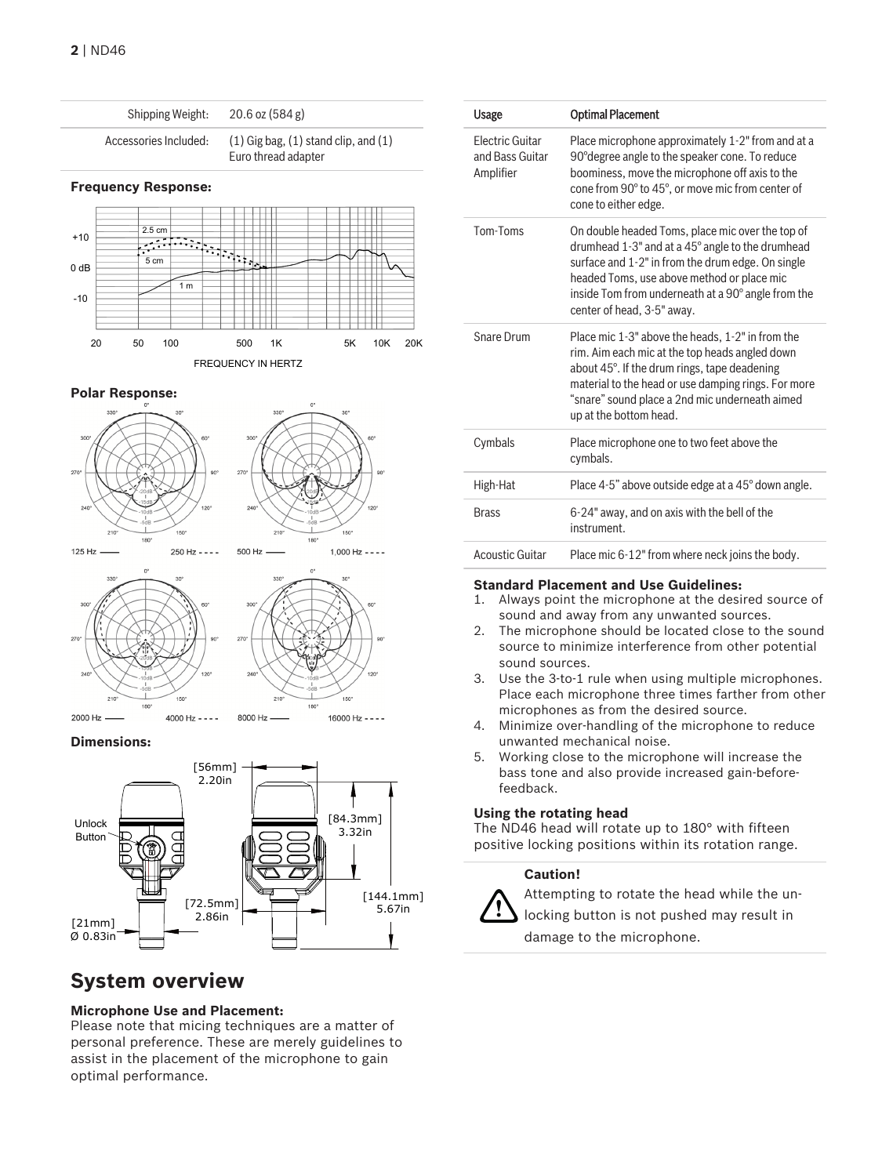

#### **Polar Response:**







180

150

16000 Hz - - - -

8000 Hz

#### **Dimensions:**



### **System overview**

#### **Microphone Use and Placement:**

Please note that micing techniques are a matter of personal preference. These are merely guidelines to assist in the placement of the microphone to gain optimal performance.

| Usage                                                  | <b>Optimal Placement</b>                                                                                                                                                                                                                                                                    |
|--------------------------------------------------------|---------------------------------------------------------------------------------------------------------------------------------------------------------------------------------------------------------------------------------------------------------------------------------------------|
| <b>Flectric Guitar</b><br>and Bass Guitar<br>Amplifier | Place microphone approximately 1-2" from and at a<br>90° degree angle to the speaker cone. To reduce<br>boominess, move the microphone off axis to the<br>cone from 90° to 45°, or move mic from center of<br>cone to either edge.                                                          |
| Tom-Toms                                               | On double headed Toms, place mic over the top of<br>drumhead 1-3" and at a 45° angle to the drumhead<br>surface and 1-2" in from the drum edge. On single<br>headed Toms, use above method or place mic<br>inside Tom from underneath at a 90° angle from the<br>center of head, 3-5" away. |
| Snare Drum                                             | Place mic 1-3" above the heads, 1-2" in from the<br>rim. Aim each mic at the top heads angled down<br>about 45°. If the drum rings, tape deadening<br>material to the head or use damping rings. For more<br>"snare" sound place a 2nd mic underneath aimed<br>up at the bottom head.       |
| Cymbals                                                | Place microphone one to two feet above the<br>cymbals.                                                                                                                                                                                                                                      |
| High-Hat                                               | Place 4-5" above outside edge at a 45° down angle.                                                                                                                                                                                                                                          |
| <b>Brass</b>                                           | 6-24" away, and on axis with the bell of the<br>instrument.                                                                                                                                                                                                                                 |
| <b>Acoustic Guitar</b>                                 | Place mic 6-12" from where neck joins the body.                                                                                                                                                                                                                                             |

## **Standard Placement and Use Guidelines:**<br>1. Always point the microphone at the desi

- Always point the microphone at the desired source of sound and away from any unwanted sources.
- 2. The microphone should be located close to the sound source to minimize interference from other potential sound sources.
- 3. Use the 3-to-1 rule when using multiple microphones. Place each microphone three times farther from other microphones as from the desired source.
- 4. Minimize over-handling of the microphone to reduce unwanted mechanical noise.
- 5. Working close to the microphone will increase the bass tone and also provide increased gain-beforefeedback.

#### **Using the rotating head**

The ND46 head will rotate up to 180° with fifteen positive locking positions within its rotation range.

#### **Caution!**



Attempting to rotate the head while the unlocking button is not pushed may result in damage to the microphone.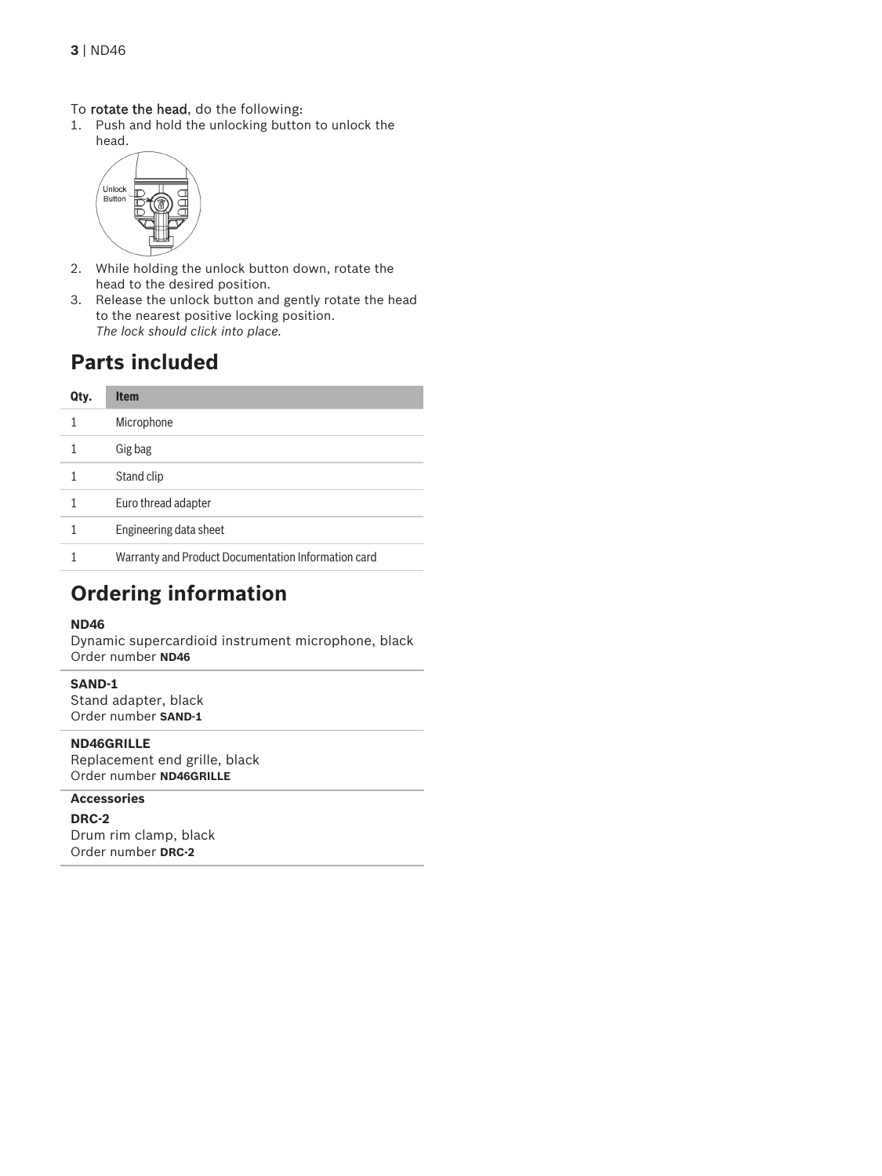#### To rotate the head, do the following:

1. Push and hold the unlocking button to unlock the head.



- 2. While holding the unlock button down, rotate the head to the desired position.
- 3. Release the unlock button and gently rotate the head to the nearest positive locking position. *The lock should click into place.*

## **Parts included**

| Qty. | <b>Item</b>                                         |
|------|-----------------------------------------------------|
|      | Microphone                                          |
|      | Gig bag                                             |
|      | Stand clip                                          |
|      | Euro thread adapter                                 |
|      | Engineering data sheet                              |
|      | Warranty and Product Documentation Information card |

## **Ordering information**

#### **ND46**

Dynamic supercardioid instrument microphone, black Order number **ND46**

#### **SAND-1**

Stand adapter, black Order number **SAND-1**

**ND46GRILLE** Replacement end grille, black Order number **ND46GRILLE**

#### **Accessories**

**DRC-2** Drum rim clamp, black Order number **DRC-2**